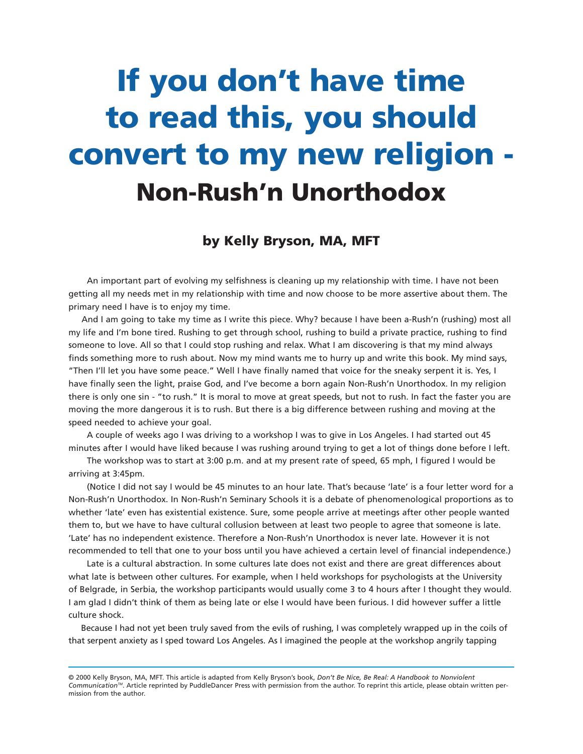# **If you don't have time to read this, you should convert to my new religion - Non-Rush'n Unorthodox**

### **by Kelly Bryson, MA, MFT**

An important part of evolving my selfishness is cleaning up my relationship with time. I have not been getting all my needs met in my relationship with time and now choose to be more assertive about them. The primary need I have is to enjoy my time.

And I am going to take my time as I write this piece. Why? because I have been a-Rush'n (rushing) most all my life and I'm bone tired. Rushing to get through school, rushing to build a private practice, rushing to find someone to love. All so that I could stop rushing and relax. What I am discovering is that my mind always finds something more to rush about. Now my mind wants me to hurry up and write this book. My mind says, "Then I'll let you have some peace." Well I have finally named that voice for the sneaky serpent it is. Yes, I have finally seen the light, praise God, and I've become a born again Non-Rush'n Unorthodox. In my religion there is only one sin - "to rush." It is moral to move at great speeds, but not to rush. In fact the faster you are moving the more dangerous it is to rush. But there is a big difference between rushing and moving at the speed needed to achieve your goal.

A couple of weeks ago I was driving to a workshop I was to give in Los Angeles. I had started out 45 minutes after I would have liked because I was rushing around trying to get a lot of things done before I left.

The workshop was to start at 3:00 p.m. and at my present rate of speed, 65 mph, I figured I would be arriving at 3:45pm.

(Notice I did not say I would be 45 minutes to an hour late. That's because 'late' is a four letter word for a Non-Rush'n Unorthodox. In Non-Rush'n Seminary Schools it is a debate of phenomenological proportions as to whether 'late' even has existential existence. Sure, some people arrive at meetings after other people wanted them to, but we have to have cultural collusion between at least two people to agree that someone is late. 'Late' has no independent existence. Therefore a Non-Rush'n Unorthodox is never late. However it is not recommended to tell that one to your boss until you have achieved a certain level of financial independence.)

Late is a cultural abstraction. In some cultures late does not exist and there are great differences about what late is between other cultures. For example, when I held workshops for psychologists at the University of Belgrade, in Serbia, the workshop participants would usually come 3 to 4 hours after I thought they would. I am glad I didn't think of them as being late or else I would have been furious. I did however suffer a little culture shock.

Because I had not yet been truly saved from the evils of rushing, I was completely wrapped up in the coils of that serpent anxiety as I sped toward Los Angeles. As I imagined the people at the workshop angrily tapping

<sup>© 2000</sup> Kelly Bryson, MA, MFT. This article is adapted from Kelly Bryson's book, *Don't Be Nice, Be Real: A Handbook to Nonviolent CommunicationTM*. Article reprinted by PuddleDancer Press with permission from the author. To reprint this article, please obtain written permission from the author.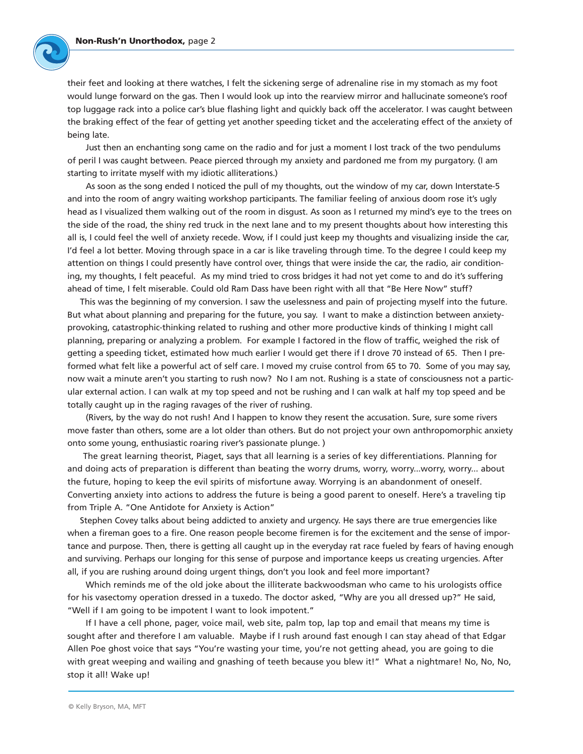

their feet and looking at there watches, I felt the sickening serge of adrenaline rise in my stomach as my foot would lunge forward on the gas. Then I would look up into the rearview mirror and hallucinate someone's roof top luggage rack into a police car's blue flashing light and quickly back off the accelerator. I was caught between the braking effect of the fear of getting yet another speeding ticket and the accelerating effect of the anxiety of being late.

Just then an enchanting song came on the radio and for just a moment I lost track of the two pendulums of peril I was caught between. Peace pierced through my anxiety and pardoned me from my purgatory. (I am starting to irritate myself with my idiotic alliterations.)

As soon as the song ended I noticed the pull of my thoughts, out the window of my car, down Interstate-5 and into the room of angry waiting workshop participants. The familiar feeling of anxious doom rose it's ugly head as I visualized them walking out of the room in disgust. As soon as I returned my mind's eye to the trees on the side of the road, the shiny red truck in the next lane and to my present thoughts about how interesting this all is, I could feel the well of anxiety recede. Wow, if I could just keep my thoughts and visualizing inside the car, I'd feel a lot better. Moving through space in a car is like traveling through time. To the degree I could keep my attention on things I could presently have control over, things that were inside the car, the radio, air conditioning, my thoughts, I felt peaceful. As my mind tried to cross bridges it had not yet come to and do it's suffering ahead of time, I felt miserable. Could old Ram Dass have been right with all that "Be Here Now" stuff?

This was the beginning of my conversion. I saw the uselessness and pain of projecting myself into the future. But what about planning and preparing for the future, you say. I want to make a distinction between anxietyprovoking, catastrophic-thinking related to rushing and other more productive kinds of thinking I might call planning, preparing or analyzing a problem. For example I factored in the flow of traffic, weighed the risk of getting a speeding ticket, estimated how much earlier I would get there if I drove 70 instead of 65. Then I preformed what felt like a powerful act of self care. I moved my cruise control from 65 to 70. Some of you may say, now wait a minute aren't you starting to rush now? No I am not. Rushing is a state of consciousness not a particular external action. I can walk at my top speed and not be rushing and I can walk at half my top speed and be totally caught up in the raging ravages of the river of rushing.

(Rivers, by the way do not rush! And I happen to know they resent the accusation. Sure, sure some rivers move faster than others, some are a lot older than others. But do not project your own anthropomorphic anxiety onto some young, enthusiastic roaring river's passionate plunge. )

The great learning theorist, Piaget, says that all learning is a series of key differentiations. Planning for and doing acts of preparation is different than beating the worry drums, worry, worry...worry, worry... about the future, hoping to keep the evil spirits of misfortune away. Worrying is an abandonment of oneself. Converting anxiety into actions to address the future is being a good parent to oneself. Here's a traveling tip from Triple A. "One Antidote for Anxiety is Action"

Stephen Covey talks about being addicted to anxiety and urgency. He says there are true emergencies like when a fireman goes to a fire. One reason people become firemen is for the excitement and the sense of importance and purpose. Then, there is getting all caught up in the everyday rat race fueled by fears of having enough and surviving. Perhaps our longing for this sense of purpose and importance keeps us creating urgencies. After all, if you are rushing around doing urgent things, don't you look and feel more important?

Which reminds me of the old joke about the illiterate backwoodsman who came to his urologists office for his vasectomy operation dressed in a tuxedo. The doctor asked, "Why are you all dressed up?" He said, "Well if I am going to be impotent I want to look impotent."

If I have a cell phone, pager, voice mail, web site, palm top, lap top and email that means my time is sought after and therefore I am valuable. Maybe if I rush around fast enough I can stay ahead of that Edgar Allen Poe ghost voice that says "You're wasting your time, you're not getting ahead, you are going to die with great weeping and wailing and gnashing of teeth because you blew it!" What a nightmare! No, No, No, stop it all! Wake up!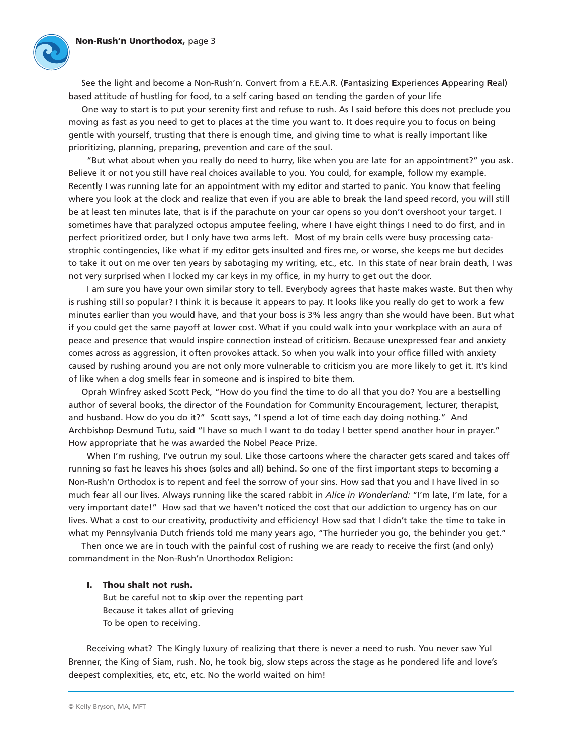

See the light and become a Non-Rush'n. Convert from a F.E.A.R. (**F**antasizing **E**xperiences **A**ppearing **R**eal) based attitude of hustling for food, to a self caring based on tending the garden of your life

One way to start is to put your serenity first and refuse to rush. As I said before this does not preclude you moving as fast as you need to get to places at the time you want to. It does require you to focus on being gentle with yourself, trusting that there is enough time, and giving time to what is really important like prioritizing, planning, preparing, prevention and care of the soul.

"But what about when you really do need to hurry, like when you are late for an appointment?" you ask. Believe it or not you still have real choices available to you. You could, for example, follow my example. Recently I was running late for an appointment with my editor and started to panic. You know that feeling where you look at the clock and realize that even if you are able to break the land speed record, you will still be at least ten minutes late, that is if the parachute on your car opens so you don't overshoot your target. I sometimes have that paralyzed octopus amputee feeling, where I have eight things I need to do first, and in perfect prioritized order, but I only have two arms left. Most of my brain cells were busy processing catastrophic contingencies, like what if my editor gets insulted and fires me, or worse, she keeps me but decides to take it out on me over ten years by sabotaging my writing, etc., etc. In this state of near brain death, I was not very surprised when I locked my car keys in my office, in my hurry to get out the door.

I am sure you have your own similar story to tell. Everybody agrees that haste makes waste. But then why is rushing still so popular? I think it is because it appears to pay. It looks like you really do get to work a few minutes earlier than you would have, and that your boss is 3% less angry than she would have been. But what if you could get the same payoff at lower cost. What if you could walk into your workplace with an aura of peace and presence that would inspire connection instead of criticism. Because unexpressed fear and anxiety comes across as aggression, it often provokes attack. So when you walk into your office filled with anxiety caused by rushing around you are not only more vulnerable to criticism you are more likely to get it. It's kind of like when a dog smells fear in someone and is inspired to bite them.

Oprah Winfrey asked Scott Peck, "How do you find the time to do all that you do? You are a bestselling author of several books, the director of the Foundation for Community Encouragement, lecturer, therapist, and husband. How do you do it?" Scott says, "I spend a lot of time each day doing nothing." And Archbishop Desmund Tutu, said "I have so much I want to do today I better spend another hour in prayer." How appropriate that he was awarded the Nobel Peace Prize.

When I'm rushing, I've outrun my soul. Like those cartoons where the character gets scared and takes off running so fast he leaves his shoes (soles and all) behind. So one of the first important steps to becoming a Non-Rush'n Orthodox is to repent and feel the sorrow of your sins. How sad that you and I have lived in so much fear all our lives. Always running like the scared rabbit in *Alice in Wonderland:* "I'm late, I'm late, for a very important date!" How sad that we haven't noticed the cost that our addiction to urgency has on our lives. What a cost to our creativity, productivity and efficiency! How sad that I didn't take the time to take in what my Pennsylvania Dutch friends told me many years ago, "The hurrieder you go, the behinder you get."

Then once we are in touch with the painful cost of rushing we are ready to receive the first (and only) commandment in the Non-Rush'n Unorthodox Religion:

#### **I. Thou shalt not rush.**

But be careful not to skip over the repenting part Because it takes allot of grieving To be open to receiving.

Receiving what? The Kingly luxury of realizing that there is never a need to rush. You never saw Yul Brenner, the King of Siam, rush. No, he took big, slow steps across the stage as he pondered life and love's deepest complexities, etc, etc, etc. No the world waited on him!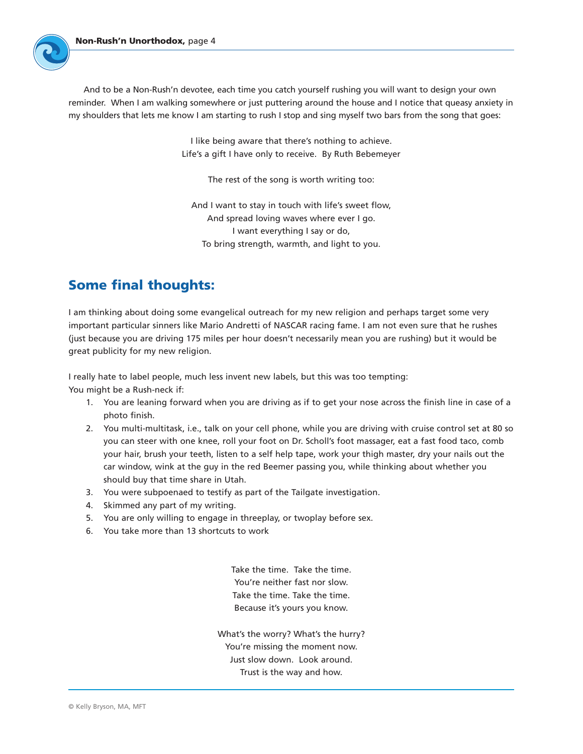And to be a Non-Rush'n devotee, each time you catch yourself rushing you will want to design your own reminder. When I am walking somewhere or just puttering around the house and I notice that queasy anxiety in my shoulders that lets me know I am starting to rush I stop and sing myself two bars from the song that goes:

> I like being aware that there's nothing to achieve. Life's a gift I have only to receive. By Ruth Bebemeyer

> > The rest of the song is worth writing too:

And I want to stay in touch with life's sweet flow, And spread loving waves where ever I go. I want everything I say or do, To bring strength, warmth, and light to you.

# **Some final thoughts:**

I am thinking about doing some evangelical outreach for my new religion and perhaps target some very important particular sinners like Mario Andretti of NASCAR racing fame. I am not even sure that he rushes (just because you are driving 175 miles per hour doesn't necessarily mean you are rushing) but it would be great publicity for my new religion.

I really hate to label people, much less invent new labels, but this was too tempting: You might be a Rush-neck if:

- 1. You are leaning forward when you are driving as if to get your nose across the finish line in case of a photo finish.
- 2. You multi-multitask, i.e., talk on your cell phone, while you are driving with cruise control set at 80 so you can steer with one knee, roll your foot on Dr. Scholl's foot massager, eat a fast food taco, comb your hair, brush your teeth, listen to a self help tape, work your thigh master, dry your nails out the car window, wink at the guy in the red Beemer passing you, while thinking about whether you should buy that time share in Utah.
- 3. You were subpoenaed to testify as part of the Tailgate investigation.
- 4. Skimmed any part of my writing.
- 5. You are only willing to engage in threeplay, or twoplay before sex.
- 6. You take more than 13 shortcuts to work

Take the time. Take the time. You're neither fast nor slow. Take the time. Take the time. Because it's yours you know.

What's the worry? What's the hurry? You're missing the moment now. Just slow down. Look around. Trust is the way and how.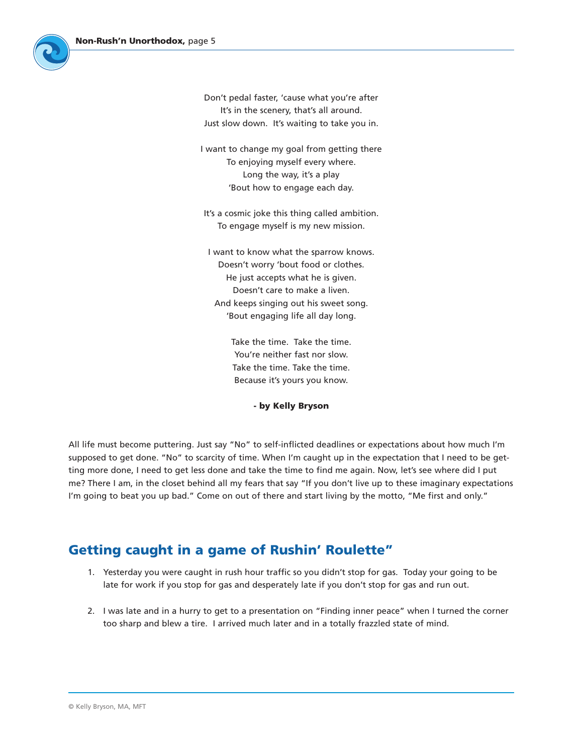

Don't pedal faster, 'cause what you're after It's in the scenery, that's all around. Just slow down. It's waiting to take you in.

I want to change my goal from getting there To enjoying myself every where. Long the way, it's a play 'Bout how to engage each day.

It's a cosmic joke this thing called ambition. To engage myself is my new mission.

I want to know what the sparrow knows. Doesn't worry 'bout food or clothes. He just accepts what he is given. Doesn't care to make a liven. And keeps singing out his sweet song. 'Bout engaging life all day long.

> Take the time. Take the time. You're neither fast nor slow. Take the time. Take the time. Because it's yours you know.

> > **- by Kelly Bryson**

All life must become puttering. Just say "No" to self-inflicted deadlines or expectations about how much I'm supposed to get done. "No" to scarcity of time. When I'm caught up in the expectation that I need to be getting more done, I need to get less done and take the time to find me again. Now, let's see where did I put me? There I am, in the closet behind all my fears that say "If you don't live up to these imaginary expectations I'm going to beat you up bad." Come on out of there and start living by the motto, "Me first and only."

## **Getting caught in a game of Rushin' Roulette"**

- 1. Yesterday you were caught in rush hour traffic so you didn't stop for gas. Today your going to be late for work if you stop for gas and desperately late if you don't stop for gas and run out.
- 2. I was late and in a hurry to get to a presentation on "Finding inner peace" when I turned the corner too sharp and blew a tire. I arrived much later and in a totally frazzled state of mind.